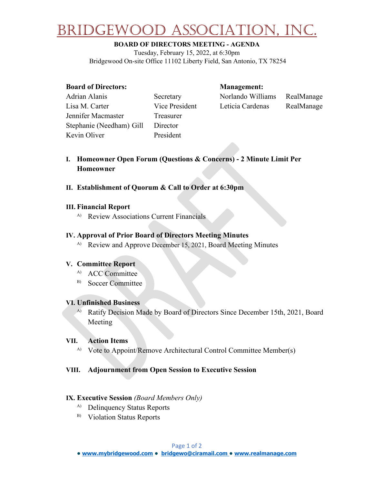# DGEWOOD ASSOCIATION. IN

# **BOARD OF DIRECTORS MEETING - AGENDA**

Tuesday, February 15, 2022, at 6:30pm Bridgewood On-site Office 11102 Liberty Field, San Antonio, TX 78254

# **Board of Directors: Management:**

Jennifer Macmaster Treasurer Stephanie (Needham) Gill Director Kevin Oliver President

Adrian Alanis **Secretary Norlando Williams** RealManage Lisa M. Carter Vice President Leticia Cardenas RealManage

**I. Homeowner Open Forum (Questions & Concerns) - 2 Minute Limit Per Homeowner**

# **II. Establishment of Quorum & Call to Order at 6:30pm**

# **III. Financial Report**

A) Review Associations Current Financials

# **IV. Approval of Prior Board of Directors Meeting Minutes**

<sup>A)</sup> Review and Approve December 15, 2021, Board Meeting Minutes

# **V. Committee Report**

- <sup>A)</sup> ACC Committee
- B) Soccer Committee

### **VI. Unfinished Business**

A) Ratify Decision Made by Board of Directors Since December 15th, 2021, Board Meeting

# **VII. Action Items**

<sup>A)</sup> Vote to Appoint/Remove Architectural Control Committee Member(s)

# **VIII. Adjournment from Open Session to Executive Session**

# **IX. Executive Session** *(Board Members Only)*

- <sup>A)</sup> Delinquency Status Reports
- B) Violation Status Reports